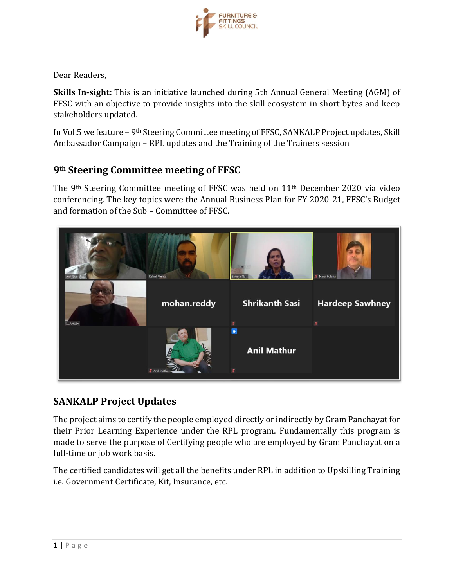

Dear Readers,

**Skills In-sight:** This is an initiative launched during 5th Annual General Meeting (AGM) of FFSC with an objective to provide insights into the skill ecosystem in short bytes and keep stakeholders updated.

In Vol.5 we feature – 9th Steering Committee meeting of FFSC, SANKALP Project updates, Skill Ambassador Campaign – RPL updates and the Training of the Trainers session

### **9th Steering Committee meeting of FFSC**

The 9th Steering Committee meeting of FFSC was held on 11th December 2020 via video conferencing. The key topics were the Annual Business Plan for FY 2020-21, FFSC's Budget and formation of the Sub – Committee of FFSC.



## **SANKALP Project Updates**

The project aims to certify the people employed directly or indirectly by Gram Panchayat for their Prior Learning Experience under the RPL program. Fundamentally this program is made to serve the purpose of Certifying people who are employed by Gram Panchayat on a full-time or job work basis.

The certified candidates will get all the benefits under RPL in addition to Upskilling Training i.e. Government Certificate, Kit, Insurance, etc.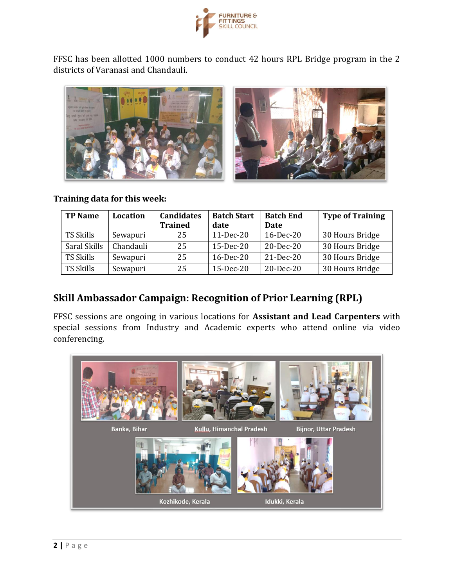

FFSC has been allotted 1000 numbers to conduct 42 hours RPL Bridge program in the 2 districts of Varanasi and Chandauli.



#### **Training data for this week:**

| <b>TP Name</b>   | Location  | <b>Candidates</b><br><b>Trained</b> | <b>Batch Start</b><br>date | <b>Batch End</b><br><b>Date</b> | <b>Type of Training</b> |
|------------------|-----------|-------------------------------------|----------------------------|---------------------------------|-------------------------|
| TS Skills        | Sewapuri  | 25                                  | $11-Dec-20$                | $16$ -Dec-20                    | 30 Hours Bridge         |
| Saral Skills     | Chandauli | 25                                  | 15-Dec-20                  | 20-Dec-20                       | 30 Hours Bridge         |
| <b>TS Skills</b> | Sewapuri  | 25                                  | $16$ -Dec-20               | $21$ -Dec-20                    | 30 Hours Bridge         |
| <b>TS Skills</b> | Sewapuri  | 25                                  | $15$ -Dec-20               | $20$ -Dec-20                    | 30 Hours Bridge         |

## **Skill Ambassador Campaign: Recognition of Prior Learning (RPL)**

FFSC sessions are ongoing in various locations for **Assistant and Lead Carpenters** with special sessions from Industry and Academic experts who attend online via video conferencing.

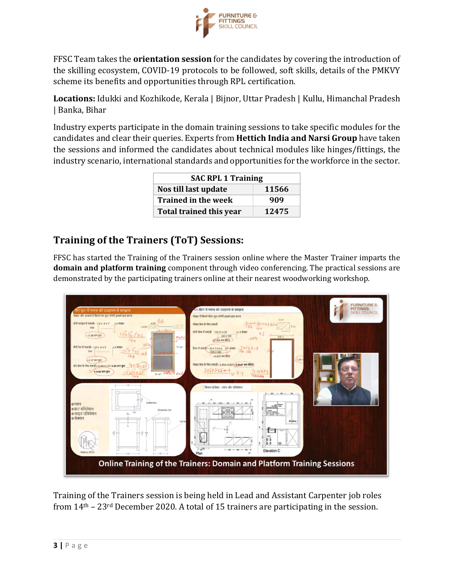

FFSC Team takes the **orientation session** for the candidates by covering the introduction of the skilling ecosystem, COVID-19 protocols to be followed, soft skills, details of the PMKVY scheme its benefits and opportunities through RPL certification.

**Locations:** Idukki and Kozhikode, Kerala | Bijnor, Uttar Pradesh | Kullu, Himanchal Pradesh | Banka, Bihar

Industry experts participate in the domain training sessions to take specific modules for the candidates and clear their queries. Experts from **Hettich India and Narsi Group** have taken the sessions and informed the candidates about technical modules like hinges/fittings, the industry scenario, international standards and opportunities for the workforce in the sector.

| <b>SAC RPL 1 Training</b>      |       |  |  |  |
|--------------------------------|-------|--|--|--|
| Nos till last update           | 11566 |  |  |  |
| <b>Trained in the week</b>     | 909   |  |  |  |
| <b>Total trained this year</b> | 12475 |  |  |  |

# **Training of the Trainers (ToT) Sessions:**

FFSC has started the Training of the Trainers session online where the Master Trainer imparts the **domain and platform training** component through video conferencing. The practical sessions are demonstrated by the participating trainers online at their nearest woodworking workshop.



Training of the Trainers session is being held in Lead and Assistant Carpenter job roles from 14th – 23rd December 2020. A total of 15 trainers are participating in the session.